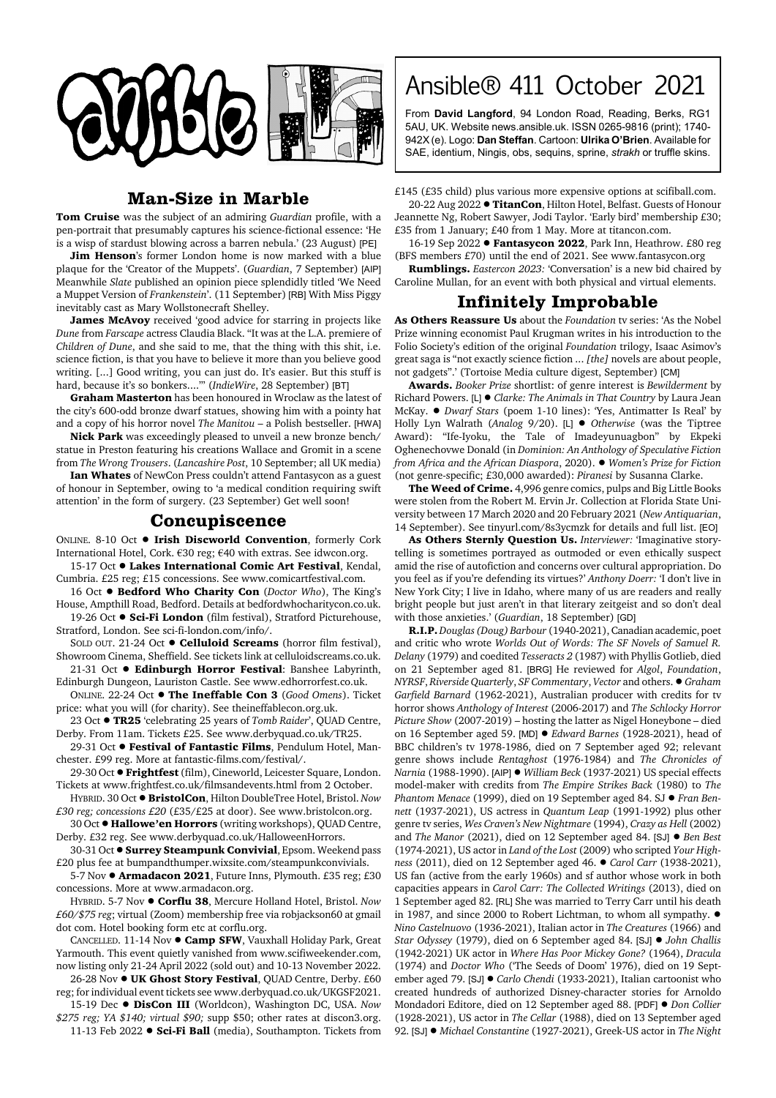

## **Man-Size in Marble**

**Tom Cruise** was the subject of an admiring *Guardian* profile, with a pen-portrait that presumably captures his science-fictional essence: 'He is a wisp of stardust blowing across a barren nebula.' (23 August) [PE]

**Jim Henson**'s former London home is now marked with a blue plaque for the 'Creator of the Muppets'. (*Guardian*, 7 September) [AIP] Meanwhile *Slate* published an opinion piece splendidly titled 'We Need a Muppet Version of *Frankenstein*'. (11 September) [RB] With Miss Piggy inevitably cast as Mary Wollstonecraft Shelley.

**James McAvoy** received 'good advice for starring in projects like *Dune* from *Farscape* actress Claudia Black. "It was at the L.A. premiere of *Children of Dune*, and she said to me, that the thing with this shit, i.e. science fiction, is that you have to believe it more than you believe good writing. [...] Good writing, you can just do. It's easier. But this stuff is hard, because it's so bonkers...."' (*IndieWire*, 28 September) [BT]

**Graham Masterton** has been honoured in Wroclaw as the latest of the city's 600-odd bronze dwarf statues, showing him with a pointy hat and a copy of his horror novel *The Manitou* – a Polish bestseller. [HWA]

**Nick Park** was exceedingly pleased to unveil a new bronze bench/ statue in Preston featuring his creations Wallace and Gromit in a scene from *The Wrong Trousers*. (*Lancashire Post*, 10 September; all UK media)

**Ian Whates** of NewCon Press couldn't attend Fantasycon as a guest of honour in September, owing to 'a medical condition requiring swift attention' in the form of surgery. (23 September) Get well soon!

## **Concupiscence**

ONLINE. 8-10 Oct  $\bullet$  Irish Discworld Convention, formerly Cork International Hotel, Cork. €30 reg; €40 with extras. See idwcon.org.

15-17 Oct  $\bullet$  Lakes International Comic Art Festival, Kendal, Cumbria. £25 reg; £15 concessions. See www.comicartfestival.com.

16 Oct ! **Bedford Who Charity Con** (*Doctor Who*), The King's House, Ampthill Road, Bedford. Details at bedfordwhocharitycon.co.uk. 19-26 Oct  $\bullet$  **Sci-Fi London** (film festival), Stratford Picturehouse,

Stratford, London. See sci-fi-london.com/info/.

SOLD OUT. 21-24 Oct  $\bullet$  **Celluloid Screams** (horror film festival), Showroom Cinema, Sheffield. See tickets link at celluloidscreams.co.uk.

21-31 Oct  $\bullet$  **Edinburgh Horror Festival**: Banshee Labyrinth, Edinburgh Dungeon, Lauriston Castle. See www.edhorrorfest.co.uk.

ONLINE. 22-24 Oct ! **The Ineffable Con 3** (*Good Omens*). Ticket price: what you will (for charity). See theineffablecon.org.uk.

23 Oct ! **TR25** 'celebrating 25 years of *Tomb Raider*', QUAD Centre, Derby. From 11am. Tickets £25. See www.derbyquad.co.uk/TR25.

29-31 Oct  $\bullet$  Festival of Fantastic Films, Pendulum Hotel, Manchester. £99 reg. More at fantastic-films.com/festival/.

29-30 Oct  $\bullet$  Frightfest (film), Cineworld, Leicester Square, London. Tickets at www.frightfest.co.uk/filmsandevents.html from 2 October.

HYBRID. 30 Oct ! **BristolCon**, Hilton DoubleTree Hotel, Bristol. *Now £30 reg; concessions £20* (£35/£25 at door). See www.bristolcon.org.

30 Oct ! **Hallowe'en Horrors** (writing workshops), QUAD Centre, Derby. £32 reg. See www.derbyquad.co.uk/HalloweenHorrors.

30-31 Oct  $\bullet$  **Surrey Steampunk Convivial**, Epsom. Weekend pass £20 plus fee at bumpandthumper.wixsite.com/steampunkconvivials.

5-7 Nov  $\bullet$  **Armadacon 2021**, Future Inns, Plymouth. £35 reg; £30 concessions. More at www.armadacon.org.

HYBRID. 5-7 Nov ! **Corflu 38**, Mercure Holland Hotel, Bristol. *Now £60/\$75 reg*; virtual (Zoom) membership free via robjackson60 at gmail dot com. Hotel booking form etc at corflu.org.

CANCELLED. 11-14 Nov ! **Camp SFW**, Vauxhall Holiday Park, Great Yarmouth. This event quietly vanished from www.scifiweekender.com, now listing only 21-24 April 2022 (sold out) and 10-13 November 2022.

26-28 Nov  $\bullet$  UK Ghost Story Festival, QUAD Centre, Derby. £60 reg; for individual event tickets see www.derbyquad.co.uk/UKGSF2021.

15-19 Dec ! **DisCon III** (Worldcon), Washington DC, USA. *Now \$275 reg; YA \$140; virtual \$90;* supp \$50; other rates at discon3.org. 11-13 Feb 2022 . Sci-Fi Ball (media), Southampton. Tickets from

## Ansible® 411 October 2021

From **David Langford**, 94 London Road, Reading, Berks, RG1 5AU, UK. Website news.ansible.uk. ISSN 0265-9816 (print); 1740- 942X (e). Logo: **Dan Steffan**. Cartoon: **Ulrika O'Brien**. Available for SAE, identium, Ningis, obs, sequins, sprine, *strakh* or truffle skins.

£145 (£35 child) plus various more expensive options at scifiball.com.

20-22 Aug 2022 <sup>·</sup> TitanCon, Hilton Hotel, Belfast. Guests of Honour Jeannette Ng, Robert Sawyer, Jodi Taylor. 'Early bird' membership £30; £35 from 1 January; £40 from 1 May. More at titancon.com.

16-19 Sep 2022 ! **Fantasycon 2022**, Park Inn, Heathrow. £80 reg (BFS members £70) until the end of 2021. See www.fantasycon.org

**Rumblings.** *Eastercon 2023:* 'Conversation' is a new bid chaired by Caroline Mullan, for an event with both physical and virtual elements.

## **Infinitely Improbable**

**As Others Reassure Us** about the *Foundation* tv series: 'As the Nobel Prize winning economist Paul Krugman writes in his introduction to the Folio Society's edition of the original *Foundation* trilogy, Isaac Asimov's great saga is "not exactly science fiction ... *[the]* novels are about people, not gadgets".' (Tortoise Media culture digest, September) [CM]

**Awards.** *Booker Prize* shortlist: of genre interest is *Bewilderment* by Richard Powers. [L] ! *Clarke: The Animals in That Country* by Laura Jean McKay. ! *Dwarf Stars* (poem 1-10 lines): 'Yes, Antimatter Is Real' by Holly Lyn Walrath (*Analog* 9/20). [L] ! *Otherwise* (was the Tiptree Award): "Ife-Iyoku, the Tale of Imadeyunuagbon" by Ekpeki Oghenechovwe Donald (in *Dominion: An Anthology of Speculative Fiction from Africa and the African Diaspora*, 2020). ! *Women's Prize for Fiction* (not genre-specific; £30,000 awarded): *Piranesi* by Susanna Clarke.

**The Weed of Crime.** 4,996 genre comics, pulps and Big Little Books were stolen from the Robert M. Ervin Jr. Collection at Florida State University between 17 March 2020 and 20 February 2021 (*New Antiquarian*, 14 September). See tinyurl.com/8s3ycmzk for details and full list. [EO]

**As Others Sternly Question Us.** *Interviewer:* 'Imaginative storytelling is sometimes portrayed as outmoded or even ethically suspect amid the rise of autofiction and concerns over cultural appropriation. Do you feel as if you're defending its virtues?' *Anthony Doerr:* 'I don't live in New York City; I live in Idaho, where many of us are readers and really bright people but just aren't in that literary zeitgeist and so don't deal with those anxieties.' (*Guardian*, 18 September) [GD]

**R.I.P.** *Douglas (Doug) Barbour* (1940-2021), Canadian academic, poet and critic who wrote *Worlds Out of Words: The SF Novels of Samuel R. Delany* (1979) and coedited *Tesseracts 2* (1987) with Phyllis Gotlieb, died on 21 September aged 81. [BRG] He reviewed for *Algol*, *Foundation*, *NYRSF*, *Riverside Quarterly*, *SF Commentary*, *Vector* and others. ! *Graham Garfield Barnard* (1962-2021), Australian producer with credits for tv horror shows *Anthology of Interest* (2006-2017) and *The Schlocky Horror Picture Show* (2007-2019) – hosting the latter as Nigel Honeybone – died on 16 September aged 59. [MD] ! *Edward Barnes* (1928-2021), head of BBC children's tv 1978-1986, died on 7 September aged 92; relevant genre shows include *Rentaghost* (1976-1984) and *The Chronicles of Narnia* (1988-1990). [AIP] ! *William Beck* (1937-2021) US special effects model-maker with credits from *The Empire Strikes Back* (1980) to *The Phantom Menace* (1999), died on 19 September aged 84. SJ ! *Fran Bennett* (1937-2021), US actress in *Quantum Leap* (1991-1992) plus other genre tv series, *Wes Craven's New Nightmare* (1994), *Crazy as Hell* (2002) and *The Manor* (2021), died on 12 September aged 84. [SJ]  $\bullet$  *Ben Best* (1974-2021), US actor in *Land of the Lost* (2009) who scripted *Your Highness* (2011), died on 12 September aged 46. ! *Carol Carr* (1938-2021), US fan (active from the early 1960s) and sf author whose work in both capacities appears in *Carol Carr: The Collected Writings* (2013), died on 1 September aged 82. [RL] She was married to Terry Carr until his death in 1987, and since 2000 to Robert Lichtman, to whom all sympathy.  $\bullet$ *Nino Castelnuovo* (1936-2021), Italian actor in *The Creatures* (1966) and *Star Odyssey* (1979), died on 6 September aged 84. [SJ] ! *John Challis* (1942-2021) UK actor in *Where Has Poor Mickey Gone?* (1964), *Dracula* (1974) and *Doctor Who* ('The Seeds of Doom' 1976), died on 19 September aged 79. [SJ] ● *Carlo Chendi* (1933-2021), Italian cartoonist who created hundreds of authorized Disney-character stories for Arnoldo Mondadori Editore, died on 12 September aged 88. [PDF] ! *Don Collier* (1928-2021), US actor in *The Cellar* (1988), died on 13 September aged 92. [SJ] ! *Michael Constantine* (1927-2021), Greek-US actor in *The Night*